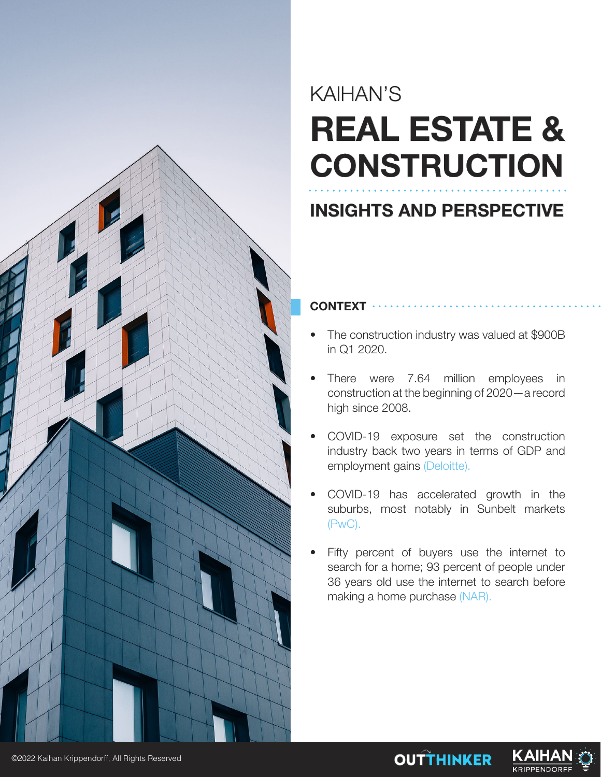

# KAIHAN'S **REAL ESTATE & CONSTRUCTION**

# **INSIGHTS AND PERSPECTIVE**

# **CONTEXT**

- The construction industry was valued at \$900B in Q1 2020.
- There were 7.64 million employees in construction at the beginning of 2020—a record high since 2008.
- COVID-19 exposure set the construction industry back two years in terms of GDP and employment gains (Deloitte).
- COVID-19 has accelerated growth in the suburbs, most notably in Sunbelt markets (PwC).
- Fifty percent of buyers use the internet to search for a home; 93 percent of people under 36 years old use the internet to search before making a home purchase (NAR).

**OUTTHINKER** 

KAIHA

**KRIPPENDORF** 

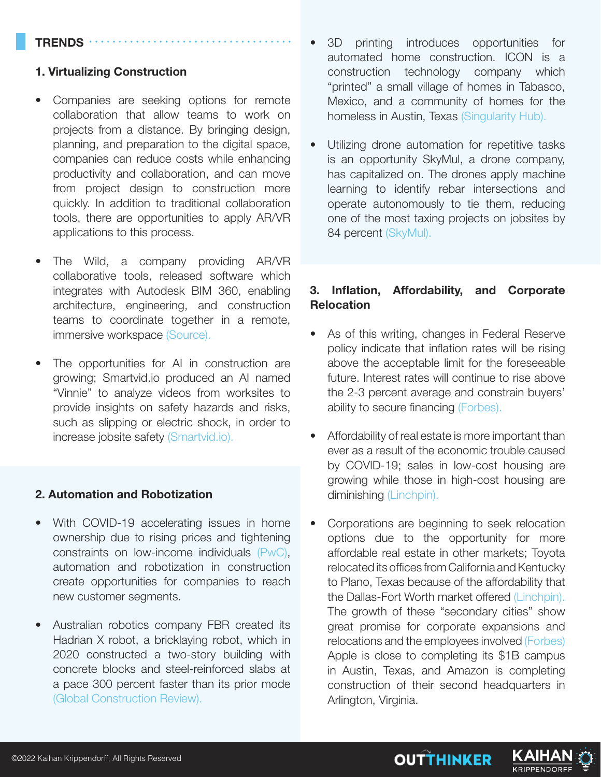#### **TRENDS**

#### **1. Virtualizing Construction**

- Companies are seeking options for remote collaboration that allow teams to work on projects from a distance. By bringing design, planning, and preparation to the digital space, companies can reduce costs while enhancing productivity and collaboration, and can move from project design to construction more quickly. In addition to traditional collaboration tools, there are opportunities to apply AR/VR applications to this process.
- The Wild, a company providing AR/VR collaborative tools, released software which integrates with Autodesk BIM 360, enabling architecture, engineering, and construction teams to coordinate together in a remote, immersive workspace (Source).
- The opportunities for AI in construction are growing; Smartvid.io produced an AI named "Vinnie" to analyze videos from worksites to provide insights on safety hazards and risks, such as slipping or electric shock, in order to increase jobsite safety (Smartvid.io).

#### **2. Automation and Robotization**

- With COVID-19 accelerating issues in home ownership due to rising prices and tightening constraints on low-income individuals (PwC), automation and robotization in construction create opportunities for companies to reach new customer segments.
- Australian robotics company FBR created its Hadrian X robot, a bricklaying robot, which in 2020 constructed a two-story building with concrete blocks and steel-reinforced slabs at a pace 300 percent faster than its prior mode (Global Construction Review).
- 3D printing introduces opportunities for automated home construction. ICON is a construction technology company which "printed" a small village of homes in Tabasco, Mexico, and a community of homes for the homeless in Austin, Texas (Singularity Hub).
- Utilizing drone automation for repetitive tasks is an opportunity SkyMul, a drone company, has capitalized on. The drones apply machine learning to identify rebar intersections and operate autonomously to tie them, reducing one of the most taxing projects on jobsites by 84 percent (SkyMul).

## **3. Inflation, Affordability, and Corporate Relocation**

- As of this writing, changes in Federal Reserve policy indicate that inflation rates will be rising above the acceptable limit for the foreseeable future. Interest rates will continue to rise above the 2-3 percent average and constrain buyers' ability to secure financing (Forbes).
- Affordability of real estate is more important than ever as a result of the economic trouble caused by COVID-19; sales in low-cost housing are growing while those in high-cost housing are diminishing (Linchpin).
- Corporations are beginning to seek relocation options due to the opportunity for more affordable real estate in other markets; Toyota relocated its offices from California and Kentucky to Plano, Texas because of the affordability that the Dallas-Fort Worth market offered (Linchpin). The growth of these "secondary cities" show great promise for corporate expansions and relocations and the employees involved (Forbes) Apple is close to completing its \$1B campus in Austin, Texas, and Amazon is completing construction of their second headquarters in Arlington, Virginia.

**OUTTHINKER** 

**KRIPPENDORFI** 

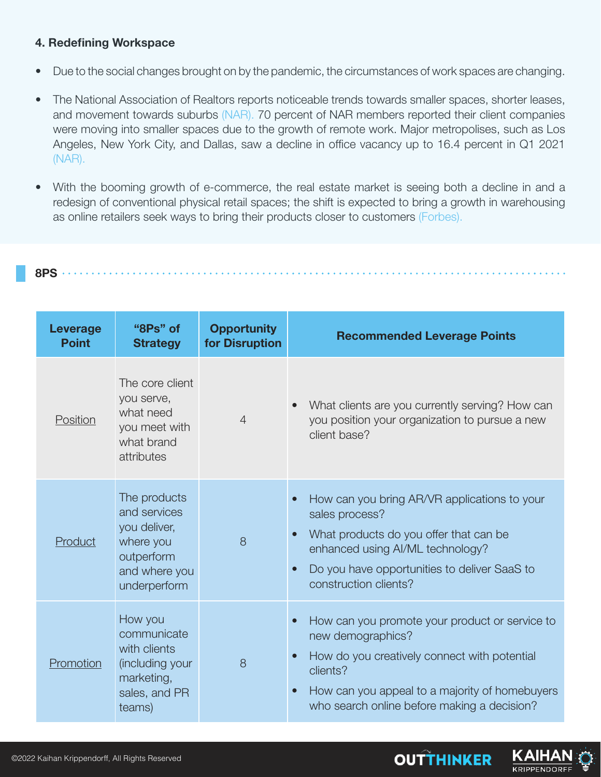# **4. Redefining Workspace**

- Due to the social changes brought on by the pandemic, the circumstances of work spaces are changing.
- The National Association of Realtors reports noticeable trends towards smaller spaces, shorter leases, and movement towards suburbs (NAR). 70 percent of NAR members reported their client companies were moving into smaller spaces due to the growth of remote work. Major metropolises, such as Los Angeles, New York City, and Dallas, saw a decline in office vacancy up to 16.4 percent in Q1 2021 (NAR).
- With the booming growth of e-commerce, the real estate market is seeing both a decline in and a redesign of conventional physical retail spaces; the shift is expected to bring a growth in warehousing as online retailers seek ways to bring their products closer to customers (Forbes).

|--|

| <b>Leverage</b><br><b>Point</b> | "8Ps" of<br><b>Strategy</b>                                                                              | <b>Opportunity</b><br>for Disruption | <b>Recommended Leverage Points</b>                                                                                                                                                                                                                           |
|---------------------------------|----------------------------------------------------------------------------------------------------------|--------------------------------------|--------------------------------------------------------------------------------------------------------------------------------------------------------------------------------------------------------------------------------------------------------------|
| Position                        | The core client<br>you serve,<br>what need<br>you meet with<br>what brand<br>attributes                  | $\overline{4}$                       | What clients are you currently serving? How can<br>you position your organization to pursue a new<br>client base?                                                                                                                                            |
| Product                         | The products<br>and services<br>you deliver,<br>where you<br>outperform<br>and where you<br>underperform | 8                                    | How can you bring AR/VR applications to your<br>$\bullet$<br>sales process?<br>What products do you offer that can be<br>$\bullet$<br>enhanced using AI/ML technology?<br>Do you have opportunities to deliver SaaS to<br>$\bullet$<br>construction clients? |
| Promotion                       | How you<br>communicate<br>with clients<br>(including your<br>marketing,<br>sales, and PR<br>teams)       | 8                                    | How can you promote your product or service to<br>$\bullet$<br>new demographics?<br>How do you creatively connect with potential<br>clients?<br>How can you appeal to a majority of homebuyers<br>$\bullet$<br>who search online before making a decision?   |

**OUTTHINKER** 

KAIH **KRIPPENDORFI**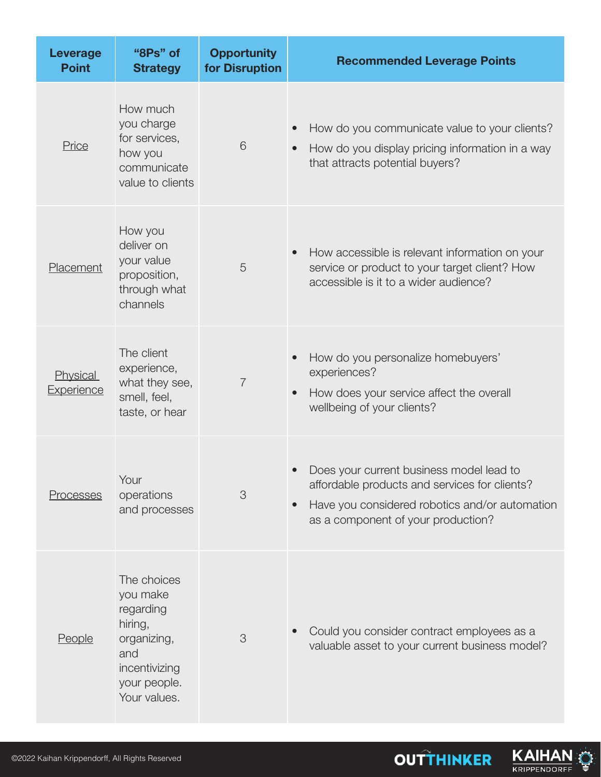| <b>Leverage</b><br><b>Point</b>      | "8Ps" of<br><b>Strategy</b>                                                                                            | <b>Opportunity</b><br>for Disruption | <b>Recommended Leverage Points</b>                                                                                                                                                             |
|--------------------------------------|------------------------------------------------------------------------------------------------------------------------|--------------------------------------|------------------------------------------------------------------------------------------------------------------------------------------------------------------------------------------------|
| Price                                | How much<br>you charge<br>for services,<br>how you<br>communicate<br>value to clients                                  | 6                                    | How do you communicate value to your clients?<br>How do you display pricing information in a way<br>$\bullet$<br>that attracts potential buyers?                                               |
| Placement                            | How you<br>deliver on<br>your value<br>proposition,<br>through what<br>channels                                        | 5                                    | How accessible is relevant information on your<br>$\bullet$<br>service or product to your target client? How<br>accessible is it to a wider audience?                                          |
| <b>Physical</b><br><b>Experience</b> | The client<br>experience,<br>what they see,<br>smell, feel,<br>taste, or hear                                          | $\overline{7}$                       | How do you personalize homebuyers'<br>experiences?<br>How does your service affect the overall<br>$\bullet$<br>wellbeing of your clients?                                                      |
| Processes                            | Your<br>operations<br>and processes                                                                                    | 3                                    | Does your current business model lead to<br>affordable products and services for clients?<br>Have you considered robotics and/or automation<br>$\bullet$<br>as a component of your production? |
| People                               | The choices<br>you make<br>regarding<br>hiring,<br>organizing,<br>and<br>incentivizing<br>your people.<br>Your values. | 3                                    | Could you consider contract employees as a<br>valuable asset to your current business model?                                                                                                   |